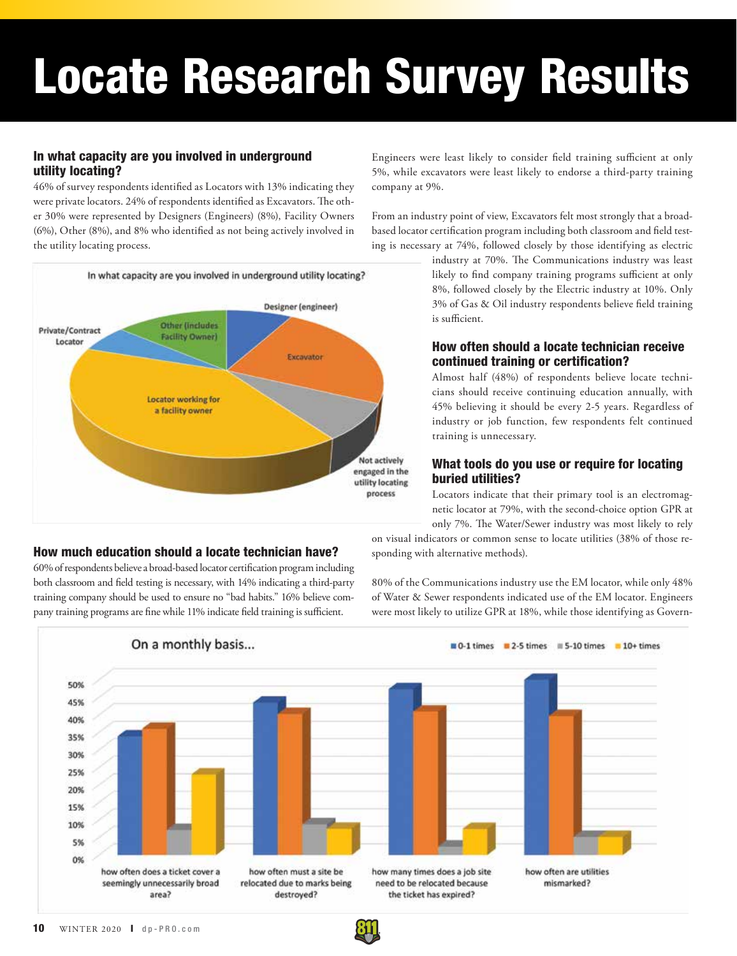# Locate Research Survey Results

## In what capacity are you involved in underground utility locating?

46% of survey respondents identified as Locators with 13% indicating they were private locators. 24% of respondents identified as Excavators. The other 30% were represented by Designers (Engineers) (8%), Facility Owners (6%), Other (8%), and 8% who identified as not being actively involved in the utility locating process.



## Engineers were least likely to consider field training sufficient at only 5%, while excavators were least likely to endorse a third-party training company at 9%.

From an industry point of view, Excavators felt most strongly that a broadbased locator certification program including both classroom and field testing is necessary at 74%, followed closely by those identifying as electric

> industry at 70%. The Communications industry was least likely to find company training programs sufficient at only 8%, followed closely by the Electric industry at 10%. Only 3% of Gas & Oil industry respondents believe field training is sufficient.

## How often should a locate technician receive continued training or certification?

Almost half (48%) of respondents believe locate technicians should receive continuing education annually, with 45% believing it should be every 2-5 years. Regardless of industry or job function, few respondents felt continued training is unnecessary.

## What tools do you use or require for locating buried utilities?

Locators indicate that their primary tool is an electromagnetic locator at 79%, with the second-choice option GPR at only 7%. The Water/Sewer industry was most likely to rely

on visual indicators or common sense to locate utilities (38% of those responding with alternative methods).

60% of respondents believe a broad-based locator certification program including both classroom and field testing is necessary, with 14% indicating a third-party training company should be used to ensure no "bad habits." 16% believe company training programs are fine while 11% indicate field training is sufficient.

How much education should a locate technician have?

80% of the Communications industry use the EM locator, while only 48% of Water & Sewer respondents indicated use of the EM locator. Engineers were most likely to utilize GPR at 18%, while those identifying as Govern-